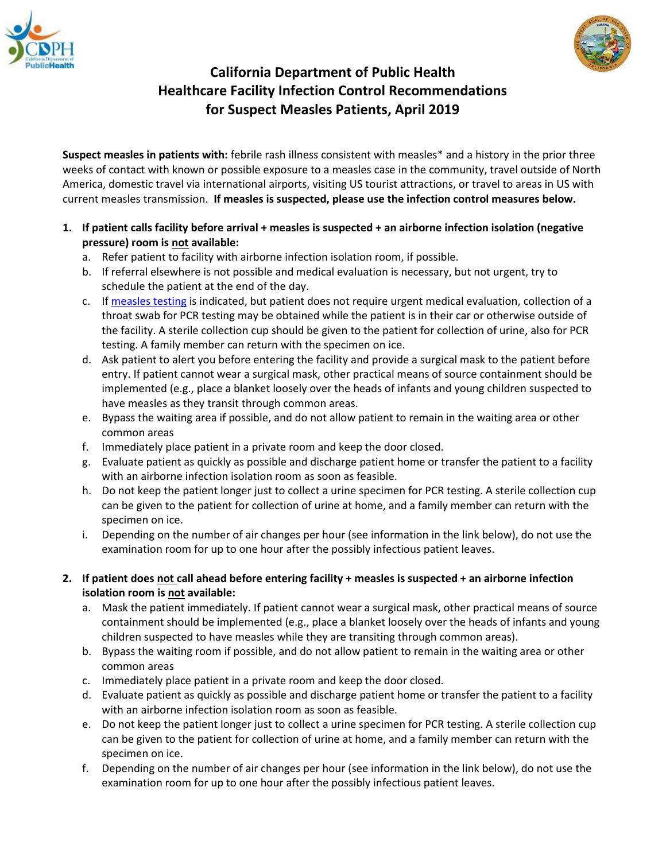



## **California Department of Public Health Healthcare Facility Infection Control Recommendations for Suspect Measles Patients, April 2019**

**Suspect measles in patients with:** febrile rash illness consistent with measles\* and a history in the prior three weeks of contact with known or possible exposure to a measles case in the community, travel outside of North America, domestic travel via international airports, visiting US tourist attractions, or travel to areas in US with current measles transmission. **If measles is suspected, please use the infection control measures below.**

- **1. If patient calls facility before arrival + measles is suspected + an airborne infection isolation (negative pressure) room is not available:**
	- a. Refer patient to facility with airborne infection isolation room, if possible.
	- b. If referral elsewhere is not possible and medical evaluation is necessary, but not urgent, try to schedule the patient at the end of the day.
	- c. If [measles testing](https://www.cdph.ca.gov/Programs/CID/DCDC/CDPH%20Document%20Library/Measles-Testing-InformationVRDL.pdf) is indicated, but patient does not require urgent medical evaluation, collection of a throat swab for PCR testing may be obtained while the patient is in their car or otherwise outside of the facility. A sterile collection cup should be given to the patient for collection of urine, also for PCR testing. A family member can return with the specimen on ice.
	- d. Ask patient to alert you before entering the facility and provide a surgical mask to the patient before entry. If patient cannot wear a surgical mask, other practical means of source containment should be implemented (e.g., place a blanket loosely over the heads of infants and young children suspected to have measles as they transit through common areas.
	- e. Bypass the waiting area if possible, and do not allow patient to remain in the waiting area or other common areas
	- f. Immediately place patient in a private room and keep the door closed.
	- g. Evaluate patient as quickly as possible and discharge patient home or transfer the patient to a facility with an airborne infection isolation room as soon as feasible.
	- h. Do not keep the patient longer just to collect a urine specimen for PCR testing. A sterile collection cup can be given to the patient for collection of urine at home, and a family member can return with the specimen on ice.
	- i. Depending on the number of air changes per hour (see information in the link below), do not use the examination room for up to one hour after the possibly infectious patient leaves.
- **2. If patient does not call ahead before entering facility + measles is suspected + an airborne infection isolation room is not available:**
	- a. Mask the patient immediately. If patient cannot wear a surgical mask, other practical means of source containment should be implemented (e.g., place a blanket loosely over the heads of infants and young children suspected to have measles while they are transiting through common areas).
	- b. Bypass the waiting room if possible, and do not allow patient to remain in the waiting area or other common areas
	- c. Immediately place patient in a private room and keep the door closed.
	- d. Evaluate patient as quickly as possible and discharge patient home or transfer the patient to a facility with an airborne infection isolation room as soon as feasible.
	- e. Do not keep the patient longer just to collect a urine specimen for PCR testing. A sterile collection cup can be given to the patient for collection of urine at home, and a family member can return with the specimen on ice.
	- f. Depending on the number of air changes per hour (see information in the link below), do not use the examination room for up to one hour after the possibly infectious patient leaves.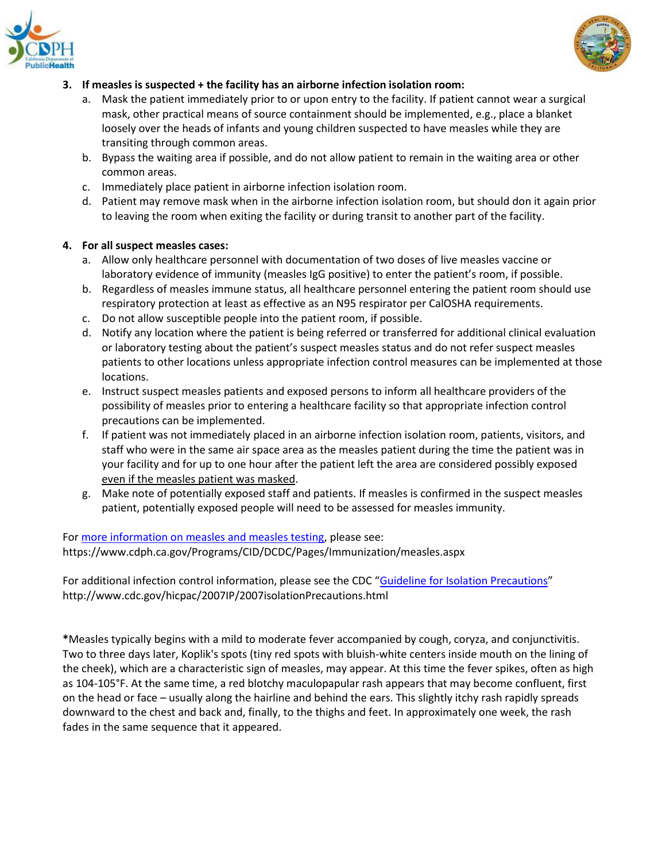



## **3. If measles is suspected + the facility has an airborne infection isolation room:**

- a. Mask the patient immediately prior to or upon entry to the facility. If patient cannot wear a surgical mask, other practical means of source containment should be implemented, e.g., place a blanket loosely over the heads of infants and young children suspected to have measles while they are transiting through common areas.
- b. Bypass the waiting area if possible, and do not allow patient to remain in the waiting area or other common areas.
- c. Immediately place patient in airborne infection isolation room.
- d. Patient may remove mask when in the airborne infection isolation room, but should don it again prior to leaving the room when exiting the facility or during transit to another part of the facility.

## **4. For all suspect measles cases:**

- a. Allow only healthcare personnel with documentation of two doses of live measles vaccine or laboratory evidence of immunity (measles IgG positive) to enter the patient's room, if possible.
- b. Regardless of measles immune status, all healthcare personnel entering the patient room should use respiratory protection at least as effective as an N95 respirator per CalOSHA requirements.
- c. Do not allow susceptible people into the patient room, if possible.
- d. Notify any location where the patient is being referred or transferred for additional clinical evaluation or laboratory testing about the patient's suspect measles status and do not refer suspect measles patients to other locations unless appropriate infection control measures can be implemented at those locations.
- e. Instruct suspect measles patients and exposed persons to inform all healthcare providers of the possibility of measles prior to entering a healthcare facility so that appropriate infection control precautions can be implemented.
- f. If patient was not immediately placed in an airborne infection isolation room, patients, visitors, and staff who were in the same air space area as the measles patient during the time the patient was in your facility and for up to one hour after the patient left the area are considered possibly exposed even if the measles patient was masked.
- g. Make note of potentially exposed staff and patients. If measles is confirmed in the suspect measles patient, potentially exposed people will need to be assessed for measles immunity.

For [more information on measles and measles testing,](https://www.cdph.ca.gov/Programs/CID/DCDC/Pages/Immunization/measles.aspx) please see: https://www.cdph.ca.gov/Programs/CID/DCDC/Pages/Immunization/measles.aspx

For additional infection control information, please see the CDC "[Guideline for Isolation Precautions](https://www.cdc.gov/infectioncontrol/guidelines/isolation/index.html)" http://www.cdc.gov/hicpac/2007IP/2007isolationPrecautions.html

**\***Measles typically begins with a mild to moderate fever accompanied by cough, coryza, and conjunctivitis. Two to three days later, Koplik's spots (tiny red spots with bluish-white centers inside mouth on the lining of the cheek), which are a characteristic sign of measles, may appear. At this time the fever spikes, often as high as 104-105°F. At the same time, a red blotchy maculopapular rash appears that may become confluent, first on the head or face – usually along the hairline and behind the ears. This slightly itchy rash rapidly spreads downward to the chest and back and, finally, to the thighs and feet. In approximately one week, the rash fades in the same sequence that it appeared.